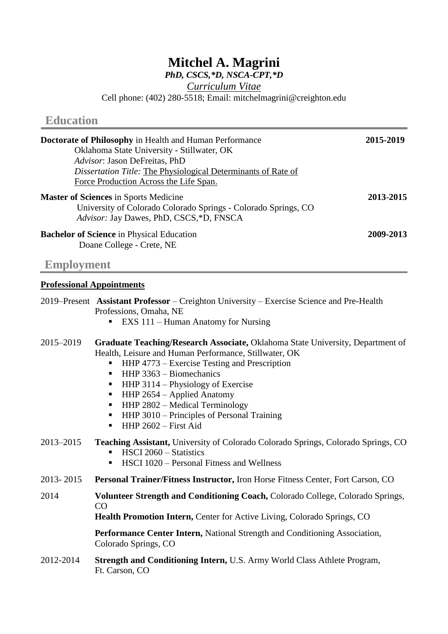# **Mitchel A. Magrini**

*PhD, CSCS,\*D, NSCA-CPT,\*D*

*Curriculum Vitae*

Cell phone: (402) 280-5518; Email: mitchelmagrini@creighton.edu

| <b>Doctorate of Philosophy</b> in Health and Human Performance<br>Oklahoma State University - Stillwater, OK<br>Advisor: Jason DeFreitas, PhD             | 2015-2019 |
|-----------------------------------------------------------------------------------------------------------------------------------------------------------|-----------|
| <i>Dissertation Title: The Physiological Determinants of Rate of</i>                                                                                      |           |
| Force Production Across the Life Span.                                                                                                                    |           |
| <b>Master of Sciences</b> in Sports Medicine<br>University of Colorado Colorado Springs - Colorado Springs, CO<br>Advisor: Jay Dawes, PhD, CSCS,*D, FNSCA | 2013-2015 |
| <b>Bachelor of Science</b> in Physical Education<br>Doane College - Crete, NE                                                                             | 2009-2013 |

# **Employment**

**Education**

# **Professional Appointments**

|           | 2019–Present Assistant Professor – Creighton University – Exercise Science and Pre-Health<br>Professions, Omaha, NE<br>EXS 111 - Human Anatomy for Nursing                                                                                                                                                                                                                                                                                                                  |
|-----------|-----------------------------------------------------------------------------------------------------------------------------------------------------------------------------------------------------------------------------------------------------------------------------------------------------------------------------------------------------------------------------------------------------------------------------------------------------------------------------|
| 2015-2019 | Graduate Teaching/Research Associate, Oklahoma State University, Department of<br>Health, Leisure and Human Performance, Stillwater, OK<br>HHP 4773 – Exercise Testing and Prescription<br>п<br>$HHP$ 3363 – Biomechanics<br>$\blacksquare$<br>HHP 3114 – Physiology of Exercise<br>п<br>HHP 2654 - Applied Anatomy<br>п<br>HHP 2802 - Medical Terminology<br>$\blacksquare$<br>HHP 3010 – Principles of Personal Training<br>п<br>$HHP 2602 - First$ Aid<br>$\blacksquare$ |
| 2013-2015 | Teaching Assistant, University of Colorado Colorado Springs, Colorado Springs, CO<br>HSCI 2060 - Statistics<br>п<br>HSCI 1020 – Personal Fitness and Wellness<br>٠                                                                                                                                                                                                                                                                                                          |
| 2013-2015 | <b>Personal Trainer/Fitness Instructor, Iron Horse Fitness Center, Fort Carson, CO</b>                                                                                                                                                                                                                                                                                                                                                                                      |
| 2014      | Volunteer Strength and Conditioning Coach, Colorado College, Colorado Springs,<br>CO<br>Health Promotion Intern, Center for Active Living, Colorado Springs, CO                                                                                                                                                                                                                                                                                                             |
|           | Performance Center Intern, National Strength and Conditioning Association,<br>Colorado Springs, CO                                                                                                                                                                                                                                                                                                                                                                          |
| 2012-2014 | Strength and Conditioning Intern, U.S. Army World Class Athlete Program,<br>Ft. Carson, CO                                                                                                                                                                                                                                                                                                                                                                                  |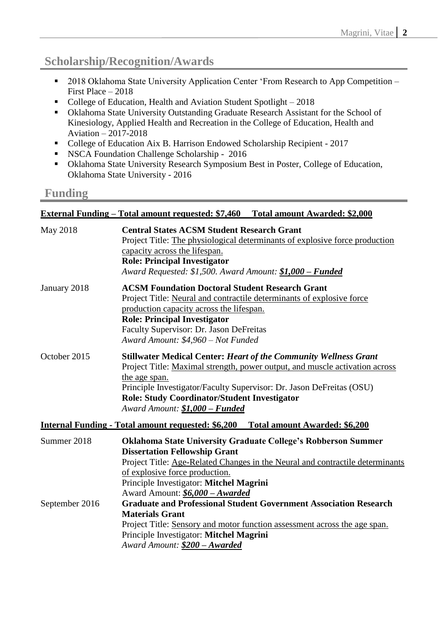# **Scholarship/Recognition/Awards**

- 2018 Oklahoma State University Application Center 'From Research to App Competition First Place – 2018
- College of Education, Health and Aviation Student Spotlight 2018
- Oklahoma State University Outstanding Graduate Research Assistant for the School of Kinesiology, Applied Health and Recreation in the College of Education, Health and Aviation – 2017-2018
- College of Education Aix B. Harrison Endowed Scholarship Recipient 2017
- NSCA Foundation Challenge Scholarship 2016
- Oklahoma State University Research Symposium Best in Poster, College of Education, Oklahoma State University - 2016

## **Funding**

## **External Funding – Total amount requested: \$7,460 Total amount Awarded: \$2,000**

| May 2018       | <b>Central States ACSM Student Research Grant</b><br>Project Title: The physiological determinants of explosive force production<br>capacity across the lifespan.<br><b>Role: Principal Investigator</b><br>Award Requested: \$1,500. Award Amount: \$1,000 - Funded                                                                     |
|----------------|------------------------------------------------------------------------------------------------------------------------------------------------------------------------------------------------------------------------------------------------------------------------------------------------------------------------------------------|
| January 2018   | <b>ACSM Foundation Doctoral Student Research Grant</b><br>Project Title: Neural and contractile determinants of explosive force<br>production capacity across the lifespan.<br><b>Role: Principal Investigator</b><br>Faculty Supervisor: Dr. Jason DeFreitas<br>Award Amount: \$4,960 - Not Funded                                      |
| October 2015   | <b>Stillwater Medical Center: Heart of the Community Wellness Grant</b><br>Project Title: Maximal strength, power output, and muscle activation across<br>the age span.<br>Principle Investigator/Faculty Supervisor: Dr. Jason DeFreitas (OSU)<br><b>Role: Study Coordinator/Student Investigator</b><br>Award Amount: \$1,000 - Funded |
|                | <u>Internal Funding - Total amount requested: \$6,200 Total amount Awarded: \$6,200</u>                                                                                                                                                                                                                                                  |
| Summer 2018    | <b>Oklahoma State University Graduate College's Robberson Summer</b><br><b>Dissertation Fellowship Grant</b><br>Project Title: Age-Related Changes in the Neural and contractile determinants<br>of explosive force production.<br>Principle Investigator: Mitchel Magrini<br>Award Amount: \$6,000 - Awarded                            |
| September 2016 | <b>Graduate and Professional Student Government Association Research</b><br><b>Materials Grant</b><br>Project Title: Sensory and motor function assessment across the age span.<br>Principle Investigator: Mitchel Magrini<br>Award Amount: \$200 - Awarded                                                                              |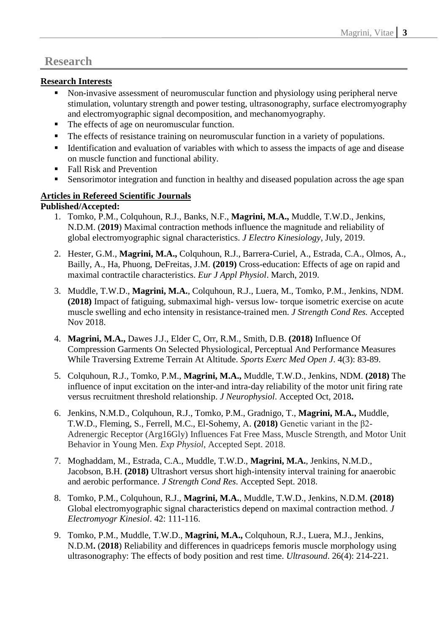## **Research**

### **Research Interests**

- Non-invasive assessment of neuromuscular function and physiology using peripheral nerve stimulation, voluntary strength and power testing, ultrasonography, surface electromyography and electromyographic signal decomposition, and mechanomyography.
- The effects of age on neuromuscular function.
- The effects of resistance training on neuromuscular function in a variety of populations.
- Identification and evaluation of variables with which to assess the impacts of age and disease on muscle function and functional ability.
- Fall Risk and Prevention
- Sensorimotor integration and function in healthy and diseased population across the age span

### **Articles in Refereed Scientific Journals**

#### **Published/Accepted:**

- 1. Tomko, P.M., Colquhoun, R.J., Banks, N.F., **Magrini, M.A.,** Muddle, T.W.D., Jenkins, N.D.M. (**2019**) Maximal contraction methods influence the magnitude and reliability of global electromyographic signal characteristics. *J Electro Kinesiology*, July, 2019.
- 2. Hester, G.M., **Magrini, M.A.,** Colquhoun, R.J., Barrera-Curiel, A., Estrada, C.A., Olmos, A., Bailly, A., Ha, Phuong, DeFreitas, J.M. **(2019)** Cross-education: Effects of age on rapid and maximal contractile characteristics. *Eur J Appl Physiol*. March, 2019.
- 3. Muddle, T.W.D., **Magrini, M.A.**, Colquhoun, R.J., Luera, M., Tomko, P.M., Jenkins, NDM. **(2018)** Impact of fatiguing, submaximal high- versus low- torque isometric exercise on acute muscle swelling and echo intensity in resistance-trained men. *J Strength Cond Res.* Accepted Nov 2018.
- 4. **Magrini, M.A.,** Dawes J.J., Elder C, Orr, R.M., Smith, D.B. **(2018)** Influence Of Compression Garments On Selected Physiological, Perceptual And Performance Measures While Traversing Extreme Terrain At Altitude. *Sports Exerc Med Open J*. 4(3): 83-89.
- 5. Colquhoun, R.J., Tomko, P.M., **Magrini, M.A.,** Muddle, T.W.D., Jenkins, NDM. **(2018)** The influence of input excitation on the inter-and intra-day reliability of the motor unit firing rate versus recruitment threshold relationship. *J Neurophysiol*. Accepted Oct, 2018**.**
- 6. Jenkins, N.M.D., Colquhoun, R.J., Tomko, P.M., Gradnigo, T., **Magrini, M.A.,** Muddle, T.W.D., Fleming, S., Ferrell, M.C., El-Sohemy, A. **(2018)** Genetic variant in the β2- Adrenergic Receptor (Arg16Gly) Influences Fat Free Mass, Muscle Strength, and Motor Unit Behavior in Young Men. *Exp Physiol*, Accepted Sept. 2018.
- 7. Moghaddam, M., Estrada, C.A., Muddle, T.W.D., **Magrini, M.A.**, Jenkins, N.M.D., Jacobson, B.H. **(2018)** Ultrashort versus short high-intensity interval training for anaerobic and aerobic performance. *J Strength Cond Res*. Accepted Sept. 2018.
- 8. Tomko, P.M., Colquhoun, R.J., **Magrini, M.A.**, Muddle, T.W.D., Jenkins, N.D.M. **(2018)**  Global electromyographic signal characteristics depend on maximal contraction method. *J Electromyogr Kinesiol*. 42: 111-116.
- 9. Tomko, P.M., Muddle, T.W.D., **Magrini, M.A.,** Colquhoun, R.J., Luera, M.J., Jenkins, N.D.M**.** (**2018**) Reliability and differences in quadriceps femoris muscle morphology using ultrasonography: The effects of body position and rest time. *Ultrasound*. 26(4): 214-221.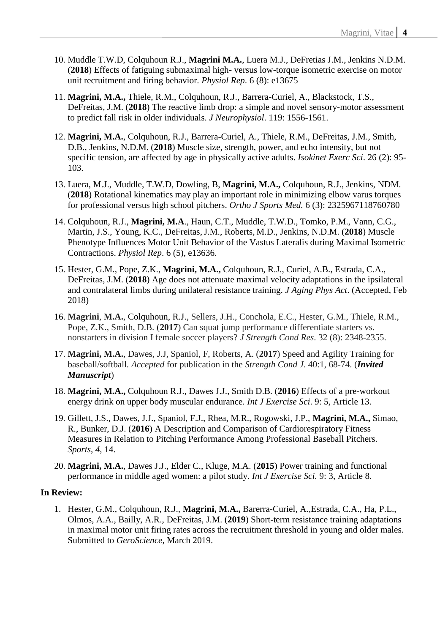- 10. Muddle T.W.D, Colquhoun R.J., **Magrini M.A.**, Luera M.J., DeFretias J.M., Jenkins N.D.M. (**2018**) Effects of fatiguing submaximal high- versus low-torque isometric exercise on motor unit recruitment and firing behavior. *Physiol Rep*. 6 (8): e13675
- 11. **Magrini, M.A.,** Thiele, R.M., Colquhoun, R.J., Barrera-Curiel, A., Blackstock, T.S., DeFreitas, J.M. (**2018**) The reactive limb drop: a simple and novel sensory-motor assessment to predict fall risk in older individuals. *J Neurophysiol*. 119: 1556-1561.
- 12. **Magrini, M.A.**, Colquhoun, R.J., Barrera-Curiel, A., Thiele, R.M., DeFreitas, J.M., Smith, D.B., Jenkins, N.D.M. (**2018**) Muscle size, strength, power, and echo intensity, but not specific tension, are affected by age in physically active adults. *Isokinet Exerc Sci*. 26 (2): 95- 103.
- 13. Luera, M.J., Muddle, T.W.D, Dowling, B, **Magrini, M.A.,** Colquhoun, R.J., Jenkins, NDM. (**2018**) Rotational kinematics may play an important role in minimizing elbow varus torques for professional versus high school pitchers. *Ortho J Sports Med.* 6 (3): 2325967118760780
- 14. Colquhoun, R.J., **Magrini, M.A**., Haun, C.T., Muddle, T.W.D., Tomko, P.M., Vann, C.G., Martin, J.S., Young, K.C., DeFreitas,J.M., Roberts, M.D., Jenkins, N.D.M. (**2018**) Muscle Phenotype Influences Motor Unit Behavior of the Vastus Lateralis during Maximal Isometric Contractions. *Physiol Rep*. 6 (5), e13636.
- 15. Hester, G.M., Pope, Z.K., **Magrini, M.A.,** Colquhoun, R.J., Curiel, A.B., Estrada, C.A., DeFreitas, J.M. (**2018**) Age does not attenuate maximal velocity adaptations in the ipsilateral and contralateral limbs during unilateral resistance training. *J Aging Phys Act*. (Accepted, Feb 2018)
- 16. **Magrini**, **M.A.**, Colquhoun, R.J., Sellers, J.H., Conchola, E.C., Hester, G.M., Thiele, R.M., Pope, Z.K., Smith, D.B. (**2017**) Can squat jump performance differentiate starters vs. nonstarters in division I female soccer players? *J Strength Cond Res*. 32 (8): 2348-2355.
- 17. **Magrini, M.A.**, Dawes, J.J, Spaniol, F, Roberts, A. (**2017**) Speed and Agility Training for baseball/softball*. Accepted* for publication in the *Strength Cond J*. 40:1, 68-74. (*Invited Manuscript*)
- 18. **Magrini, M.A.,** Colquhoun R.J., Dawes J.J., Smith D.B. (**2016**) Effects of a pre-workout energy drink on upper body muscular endurance. *Int J Exercise Sci*. 9: 5, Article 13.
- 19. Gillett, J.S., Dawes, J.J., Spaniol, F.J., Rhea, M.R., Rogowski, J.P., **Magrini, M.A.,** Simao, R., Bunker, D.J. (**2016**) A Description and Comparison of Cardiorespiratory Fitness Measures in Relation to Pitching Performance Among Professional Baseball Pitchers. *Sports*, *4*, 14.
- 20. **Magrini, M.A.**, Dawes J.J., Elder C., Kluge, M.A. (**2015**) Power training and functional performance in middle aged women: a pilot study. *Int J Exercise Sci.* 9: 3, Article 8.

#### **In Review:**

1. Hester, G.M., Colquhoun, R.J., **Magrini, M.A.,** Barerra-Curiel, A.,Estrada, C.A., Ha, P.L., Olmos, A.A., Bailly, A.R., DeFreitas, J.M. (**2019**) Short-term resistance training adaptations in maximal motor unit firing rates across the recruitment threshold in young and older males. Submitted to *GeroScience*, March 2019.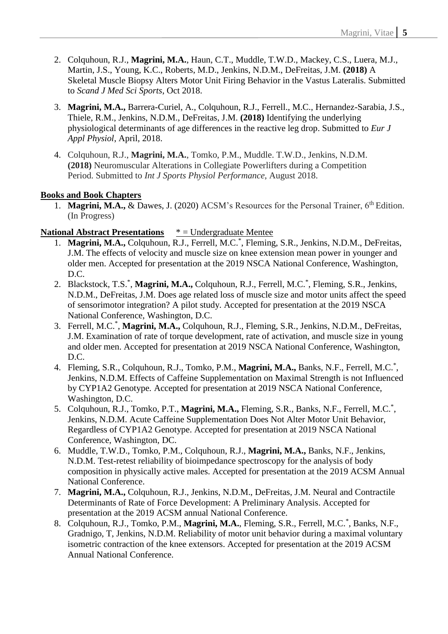- 2. Colquhoun, R.J., **Magrini, M.A.**, Haun, C.T., Muddle, T.W.D., Mackey, C.S., Luera, M.J., Martin, J.S., Young, K.C., Roberts, M.D., Jenkins, N.D.M., DeFreitas, J.M. **(2018)** A Skeletal Muscle Biopsy Alters Motor Unit Firing Behavior in the Vastus Lateralis. Submitted to *Scand J Med Sci Sports*, Oct 2018.
- 3. **Magrini, M.A.,** Barrera-Curiel, A., Colquhoun, R.J., Ferrell., M.C., Hernandez-Sarabia, J.S., Thiele, R.M., Jenkins, N.D.M., DeFreitas, J.M. **(2018)** Identifying the underlying physiological determinants of age differences in the reactive leg drop. Submitted to *Eur J Appl Physiol*, April, 2018.
- 4. Colquhoun, R.J., **Magrini, M.A.**, Tomko, P.M., Muddle. T.W.D., Jenkins, N.D.M. **(2018)** Neuromuscular Alterations in Collegiate Powerlifters during a Competition Period. Submitted to *Int J Sports Physiol Performance*, August 2018.

#### **Books and Book Chapters**

1. **Magrini, M.A.,** & Dawes, J. (2020) ACSM's Resources for the Personal Trainer, 6<sup>th</sup> Edition. (In Progress)

#### **National Abstract Presentations** \* = Undergraduate Mentee

- 1. Magrini, M.A., Colquhoun, R.J., Ferrell, M.C.<sup>\*</sup>, Fleming, S.R., Jenkins, N.D.M., DeFreitas, J.M. The effects of velocity and muscle size on knee extension mean power in younger and older men. Accepted for presentation at the 2019 NSCA National Conference, Washington, D.C.
- 2. Blackstock, T.S.<sup>\*</sup>, Magrini, M.A., Colquhoun, R.J., Ferrell, M.C.<sup>\*</sup>, Fleming, S.R., Jenkins, N.D.M., DeFreitas, J.M. Does age related loss of muscle size and motor units affect the speed of sensorimotor integration? A pilot study. Accepted for presentation at the 2019 NSCA National Conference, Washington, D.C.
- 3. Ferrell, M.C.\* , **Magrini, M.A.,** Colquhoun, R.J., Fleming, S.R., Jenkins, N.D.M., DeFreitas, J.M. Examination of rate of torque development, rate of activation, and muscle size in young and older men. Accepted for presentation at 2019 NSCA National Conference, Washington, D.C.
- 4. Fleming, S.R., Colquhoun, R.J., Tomko, P.M., Magrini, M.A., Banks, N.F., Ferrell, M.C.<sup>\*</sup>, Jenkins, N.D.M. Effects of Caffeine Supplementation on Maximal Strength is not Influenced by CYP1A2 Genotype*.* Accepted for presentation at 2019 NSCA National Conference, Washington, D.C.
- 5. Colquhoun, R.J., Tomko, P.T., Magrini, M.A., Fleming, S.R., Banks, N.F., Ferrell, M.C.<sup>\*</sup>, Jenkins, N.D.M. Acute Caffeine Supplementation Does Not Alter Motor Unit Behavior, Regardless of CYP1A2 Genotype. Accepted for presentation at 2019 NSCA National Conference, Washington, DC.
- 6. Muddle, T.W.D., Tomko, P.M., Colquhoun, R.J., **Magrini, M.A.,** Banks, N.F., Jenkins, N.D.M. Test-retest reliability of bioimpedance spectroscopy for the analysis of body composition in physically active males. Accepted for presentation at the 2019 ACSM Annual National Conference.
- 7. **Magrini, M.A.,** Colquhoun, R.J., Jenkins, N.D.M., DeFreitas, J.M. Neural and Contractile Determinants of Rate of Force Development: A Preliminary Analysis. Accepted for presentation at the 2019 ACSM annual National Conference.
- 8. Colquhoun, R.J., Tomko, P.M., Magrini, M.A., Fleming, S.R., Ferrell, M.C.<sup>\*</sup>, Banks, N.F., Gradnigo, T, Jenkins, N.D.M. Reliability of motor unit behavior during a maximal voluntary isometric contraction of the knee extensors. Accepted for presentation at the 2019 ACSM Annual National Conference.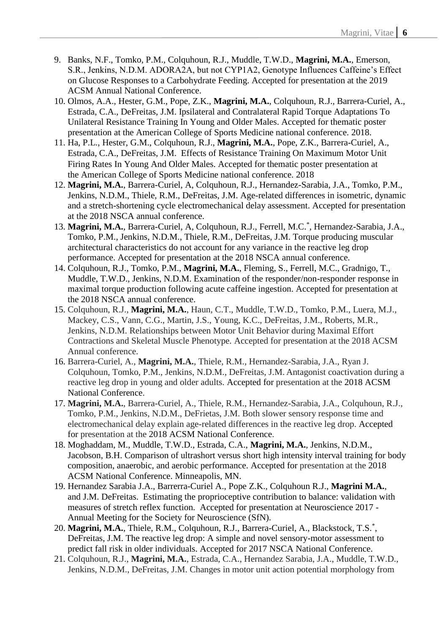- 9. Banks, N.F., Tomko, P.M., Colquhoun, R.J., Muddle, T.W.D., **Magrini, M.A.**, Emerson, S.R., Jenkins, N.D.M. ADORA2A, but not CYP1A2, Genotype Influences Caffeine's Effect on Glucose Responses to a Carbohydrate Feeding. Accepted for presentation at the 2019 ACSM Annual National Conference.
- 10. Olmos, A.A., Hester, G.M., Pope, Z.K., **Magrini, M.A.**, Colquhoun, R.J., Barrera-Curiel, A., Estrada, C.A., DeFreitas, J.M. Ipsilateral and Contralateral Rapid Torque Adaptations To Unilateral Resistance Training In Young and Older Males. Accepted for thematic poster presentation at the American College of Sports Medicine national conference. 2018.
- 11. Ha, P.L., Hester, G.M., Colquhoun, R.J., **Magrini, M.A.**, Pope, Z.K., Barrera-Curiel, A., Estrada, C.A., DeFreitas, J.M. Effects of Resistance Training On Maximum Motor Unit Firing Rates In Young And Older Males. Accepted for thematic poster presentation at the American College of Sports Medicine national conference. 2018
- 12. **Magrini, M.A.**, Barrera-Curiel, A, Colquhoun, R.J., Hernandez-Sarabia, J.A., Tomko, P.M., Jenkins, N.D.M., Thiele, R.M., DeFreitas, J.M. Age-related differences in isometric, dynamic and a stretch-shortening cycle electromechanical delay assessment. Accepted for presentation at the 2018 NSCA annual conference.
- 13. Magrini, M.A., Barrera-Curiel, A, Colquhoun, R.J., Ferrell, M.C.<sup>\*</sup>, Hernandez-Sarabia, J.A., Tomko, P.M., Jenkins, N.D.M., Thiele, R.M., DeFreitas, J.M. Torque producing muscular architectural characteristics do not account for any variance in the reactive leg drop performance. Accepted for presentation at the 2018 NSCA annual conference.
- 14. Colquhoun, R.J., Tomko, P.M., **Magrini, M.A.**, Fleming, S., Ferrell, M.C., Gradnigo, T., Muddle, T.W.D., Jenkins, N.D.M. Examination of the responder/non-responder response in maximal torque production following acute caffeine ingestion. Accepted for presentation at the 2018 NSCA annual conference.
- 15. Colquhoun, R.J., **Magrini, M.A.**, Haun, C.T., Muddle, T.W.D., Tomko, P.M., Luera, M.J., Mackey, C.S., Vann, C.G., Martin, J.S., Young, K.C., DeFreitas, J.M., Roberts, M.R., Jenkins, N.D.M. Relationships between Motor Unit Behavior during Maximal Effort Contractions and Skeletal Muscle Phenotype*.* Accepted for presentation at the 2018 ACSM Annual conference.
- 16. Barrera-Curiel, A., **Magrini, M.A.**, Thiele, R.M., Hernandez-Sarabia, J.A., Ryan J. Colquhoun, Tomko, P.M., Jenkins, N.D.M., DeFreitas, J.M. Antagonist coactivation during a reactive leg drop in young and older adults. Accepted for presentation at the 2018 ACSM National Conference.
- 17. **Magrini, M.A.**, Barrera-Curiel, A., Thiele, R.M., Hernandez-Sarabia, J.A., Colquhoun, R.J., Tomko, P.M., Jenkins, N.D.M., DeFrietas, J.M. Both slower sensory response time and electromechanical delay explain age-related differences in the reactive leg drop. Accepted for presentation at the 2018 ACSM National Conference.
- 18. Moghaddam, M., Muddle, T.W.D., Estrada, C.A., **Magrini, M.A.**, Jenkins, N.D.M., Jacobson, B.H. Comparison of ultrashort versus short high intensity interval training for body composition, anaerobic, and aerobic performance. Accepted for presentation at the 2018 ACSM National Conference. Minneapolis, MN.
- 19. Hernandez Sarabia J.A., Barrerra-Curiel A., Pope Z.K., Colquhoun R.J., **Magrini M.A.**, and J.M. DeFreitas. Estimating the proprioceptive contribution to balance: validation with measures of stretch reflex function. Accepted for presentation at Neuroscience 2017 - Annual Meeting for the Society for Neuroscience (SfN).
- 20. Magrini, M.A., Thiele, R.M., Colquhoun, R.J., Barrera-Curiel, A., Blackstock, T.S.\*, DeFreitas, J.M. The reactive leg drop: A simple and novel sensory-motor assessment to predict fall risk in older individuals. Accepted for 2017 NSCA National Conference.
- 21. Colquhoun, R.J., **Magrini, M.A.**, Estrada, C.A., Hernandez Sarabia, J.A., Muddle, T.W.D., Jenkins, N.D.M., DeFreitas, J.M. Changes in motor unit action potential morphology from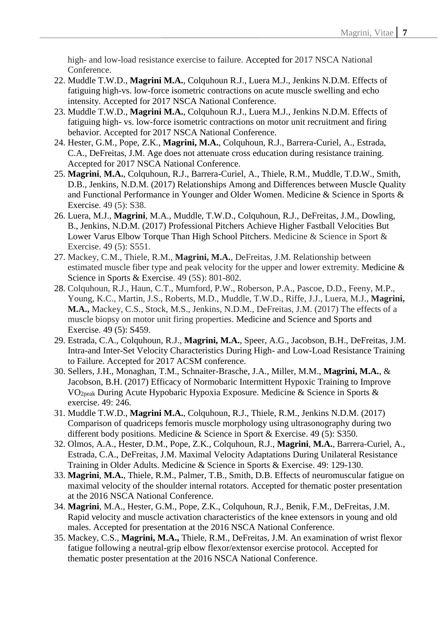high- and low-load resistance exercise to failure. Accepted for 2017 NSCA National Conference.

- 22. Muddle T.W.D., **Magrini M.A.**, Colquhoun R.J., Luera M.J., Jenkins N.D.M. Effects of fatiguing high-vs. low-force isometric contractions on acute muscle swelling and echo intensity. Accepted for 2017 NSCA National Conference.
- 23. Muddle T.W.D., **Magrini M.A.**, Colquhoun R.J., Luera M.J., Jenkins N.D.M. Effects of fatiguing high- vs. low-force isometric contractions on motor unit recruitment and firing behavior. Accepted for 2017 NSCA National Conference.
- 24. Hester, G.M., Pope, Z.K., **Magrini, M.A.**, Colquhoun, R.J., Barrera-Curiel, A., Estrada, C.A., DeFreitas, J.M. Age does not attenuate cross education during resistance training. Accepted for 2017 NSCA National Conference.
- 25. **Magrini**, **M.A.**, Colquhoun, R.J., Barrera-Curiel, A., Thiele, R.M., Muddle, T.D.W., Smith, D.B., Jenkins, N.D.M. (2017) Relationships Among and Differences between Muscle Quality and Functional Performance in Younger and Older Women. Medicine & Science in Sports & Exercise. 49 (5): S38.
- 26. Luera, M.J., **Magrini**, M.A., Muddle, T.W.D., Colquhoun, R.J., DeFreitas, J.M., Dowling, B., Jenkins, N.D.M. (2017) Professional Pitchers Achieve Higher Fastball Velocities But Lower Varus Elbow Torque Than High School Pitchers. Medicine & Science in Sport & Exercise. 49 (5): S551.
- 27. Mackey, C.M., Thiele, R.M., **Magrini, M.A.**, DeFreitas, J.M. Relationship between estimated muscle fiber type and peak velocity for the upper and lower extremity. Medicine & Science in Sports & Exercise. 49 (5S): 801-802.
- 28. Colquhoun, R.J., Haun, C.T., Mumford, P.W., Roberson, P.A., Pascoe, D.D., Feeny, M.P., Young, K.C., Martin, J.S., Roberts, M.D., Muddle, T.W.D., Riffe, J.J., Luera, M.J., **Magrini, M.A.,** Mackey, C.S., Stock, M.S., Jenkins, N.D.M., DeFreitas, J.M. (2017) The effects of a muscle biopsy on motor unit firing properties. Medicine and Science and Sports and Exercise. 49 (5): S459.
- 29. Estrada, C.A., Colquhoun, R.J., **Magrini, M.A.**, Speer, A.G., Jacobson, B.H., DeFreitas, J.M. Intra-and Inter-Set Velocity Characteristics During High- and Low-Load Resistance Training to Failure. Accepted for 2017 ACSM conference.
- 30. Sellers, J.H., Monaghan, T.M., Schnaiter-Brasche, J.A., Miller, M.M., **Magrini, M.A.**, & Jacobson, B.H. (2017) Efficacy of Normobaric Intermittent Hypoxic Training to Improve VO2peak During Acute Hypobaric Hypoxia Exposure. Medicine & Science in Sports & exercise. 49: 246.
- 31. Muddle T.W.D., **Magrini M.A.**, Colquhoun, R.J., Thiele, R.M., Jenkins N.D.M. (2017) Comparison of quadriceps femoris muscle morphology using ultrasonography during two different body positions. Medicine & Science in Sport & Exercise. 49 (5): S350.
- 32. Olmos, A.A., Hester, D.M., Pope, Z.K., Colquhoun, R.J., **Magrini**, **M.A.**, Barrera-Curiel, A., Estrada, C.A., DeFreitas, J.M. Maximal Velocity Adaptations During Unilateral Resistance Training in Older Adults. Medicine & Science in Sports & Exercise. 49: 129-130.
- 33. **Magrini**, **M.A.**, Thiele, R.M., Palmer, T.B., Smith, D.B. Effects of neuromuscular fatigue on maximal velocity of the shoulder internal rotators. Accepted for thematic poster presentation at the 2016 NSCA National Conference.
- 34. **Magrini**, M.A., Hester, G.M., Pope, Z.K., Colquhoun, R.J., Benik, F.M., DeFreitas, J.M. Rapid velocity and muscle activation characteristics of the knee extensors in young and old males. Accepted for presentation at the 2016 NSCA National Conference.
- 35. Mackey, C.S., **Magrini, M.A.,** Thiele, R.M., DeFreitas, J.M. An examination of wrist flexor fatigue following a neutral-grip elbow flexor/extensor exercise protocol. Accepted for thematic poster presentation at the 2016 NSCA National Conference.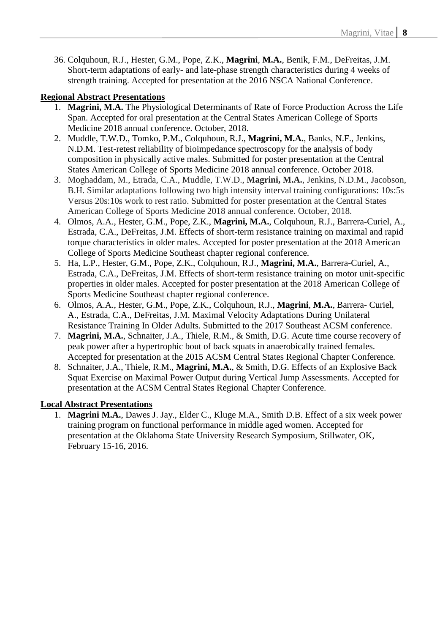36. Colquhoun, R.J., Hester, G.M., Pope, Z.K., **Magrini**, **M.A.**, Benik, F.M., DeFreitas, J.M. Short-term adaptations of early- and late-phase strength characteristics during 4 weeks of strength training. Accepted for presentation at the 2016 NSCA National Conference.

#### **Regional Abstract Presentations**

- 1. **Magrini, M.A.** The Physiological Determinants of Rate of Force Production Across the Life Span. Accepted for oral presentation at the Central States American College of Sports Medicine 2018 annual conference. October, 2018.
- 2. Muddle, T.W.D., Tomko, P.M., Colquhoun, R.J., **Magrini, M.A.**, Banks, N.F., Jenkins, N.D.M. Test-retest reliability of bioimpedance spectroscopy for the analysis of body composition in physically active males. Submitted for poster presentation at the Central States American College of Sports Medicine 2018 annual conference. October 2018.
- 3. Moghaddam, M., Etrada, C.A., Muddle, T.W.D., **Magrini, M.A.**, Jenkins, N.D.M., Jacobson, B.H. Similar adaptations following two high intensity interval training configurations: 10s:5s Versus 20s:10s work to rest ratio. Submitted for poster presentation at the Central States American College of Sports Medicine 2018 annual conference. October, 2018.
- 4. Olmos, A.A., Hester, G.M., Pope, Z.K., **Magrini, M.A.**, Colquhoun, R.J., Barrera-Curiel, A., Estrada, C.A., DeFreitas, J.M. Effects of short-term resistance training on maximal and rapid torque characteristics in older males. Accepted for poster presentation at the 2018 American College of Sports Medicine Southeast chapter regional conference.
- 5. Ha, L.P., Hester, G.M., Pope, Z.K., Colquhoun, R.J., **Magrini, M.A.**, Barrera-Curiel, A., Estrada, C.A., DeFreitas, J.M. Effects of short-term resistance training on motor unit-specific properties in older males. Accepted for poster presentation at the 2018 American College of Sports Medicine Southeast chapter regional conference.
- 6. Olmos, A.A., Hester, G.M., Pope, Z.K., Colquhoun, R.J., **Magrini**, **M.A.**, Barrera- Curiel, A., Estrada, C.A., DeFreitas, J.M. Maximal Velocity Adaptations During Unilateral Resistance Training In Older Adults. Submitted to the 2017 Southeast ACSM conference.
- 7. **Magrini, M.A.**, Schnaiter, J.A., Thiele, R.M., & Smith, D.G. Acute time course recovery of peak power after a hypertrophic bout of back squats in anaerobically trained females. Accepted for presentation at the 2015 ACSM Central States Regional Chapter Conference*.*
- 8. Schnaiter, J.A., Thiele, R.M., **Magrini, M.A.**, & Smith, D.G. Effects of an Explosive Back Squat Exercise on Maximal Power Output during Vertical Jump Assessments. Accepted for presentation at the ACSM Central States Regional Chapter Conference.

#### **Local Abstract Presentations**

1. **Magrini M.A.**, Dawes J. Jay., Elder C., Kluge M.A., Smith D.B. Effect of a six week power training program on functional performance in middle aged women. Accepted for presentation at the Oklahoma State University Research Symposium, Stillwater, OK, February 15-16, 2016.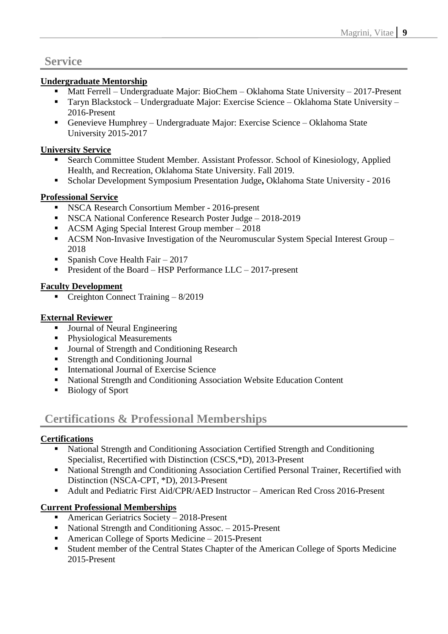## **Service**

### **Undergraduate Mentorship**

- Matt Ferrell Undergraduate Major: BioChem Oklahoma State University 2017-Present
- Taryn Blackstock Undergraduate Major: Exercise Science Oklahoma State University 2016-Present
- Genevieve Humphrey Undergraduate Major: Exercise Science Oklahoma State University 2015-2017

### **University Service**

- Search Committee Student Member. Assistant Professor. School of Kinesiology, Applied Health, and Recreation, Oklahoma State University. Fall 2019.
- Scholar Development Symposium Presentation Judge, Oklahoma State University 2016

### **Professional Service**

- NSCA Research Consortium Member 2016-present
- NSCA National Conference Research Poster Judge 2018-2019
- ACSM Aging Special Interest Group member 2018
- ACSM Non-Invasive Investigation of the Neuromuscular System Special Interest Group 2018
- **•** Spanish Cove Health Fair  $-2017$
- **•** President of the Board HSP Performance LLC 2017-present

### **Faculty Development**

**•** Creighton Connect Training  $-8/2019$ 

### **External Reviewer**

- Journal of Neural Engineering
- Physiological Measurements
- Journal of Strength and Conditioning Research
- Strength and Conditioning Journal
- International Journal of Exercise Science
- National Strength and Conditioning Association Website Education Content
- Biology of Sport

# **Certifications & Professional Memberships**

#### **Certifications**

- National Strength and Conditioning Association Certified Strength and Conditioning Specialist, Recertified with Distinction (CSCS,\*D), 2013-Present
- National Strength and Conditioning Association Certified Personal Trainer, Recertified with Distinction (NSCA-CPT, \*D), 2013-Present
- Adult and Pediatric First Aid/CPR/AED Instructor American Red Cross 2016-Present

### **Current Professional Memberships**

- American Geriatrics Society 2018-Present
- National Strength and Conditioning Assoc. 2015-Present
- American College of Sports Medicine 2015-Present
- Student member of the Central States Chapter of the American College of Sports Medicine 2015-Present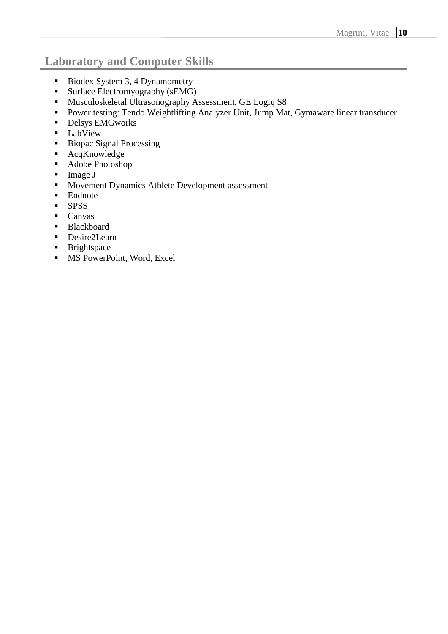# **Laboratory and Computer Skills**

- Biodex System 3, 4 Dynamometry
- Surface Electromyography (sEMG)
- Musculoskeletal Ultrasonography Assessment, GE Logiq S8
- Power testing: Tendo Weightlifting Analyzer Unit, Jump Mat, Gymaware linear transducer
- **•** Delsys EMGworks
- **LabView**
- Biopac Signal Processing
- AcqKnowledge
- Adobe Photoshop
- Image J
- Movement Dynamics Athlete Development assessment
- Endnote
- SPSS
- Canvas
- Blackboard
- Desire2Learn
- **Example 1** Brightspace
- MS PowerPoint, Word, Excel